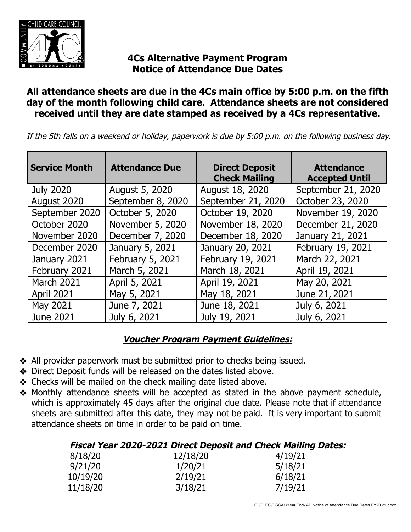

# **4Cs Alternative Payment Program Notice of Attendance Due Dates**

### **All attendance sheets are due in the 4Cs main office by 5:00 p.m. on the fifth day of the month following child care. Attendance sheets are not considered received until they are date stamped as received by a 4Cs representative.**

If the 5th falls on a weekend or holiday, paperwork is due by 5:00 p.m. on the following business day.

| <b>Service Month</b> | <b>Attendance Due</b> | <b>Direct Deposit</b><br><b>Check Mailing</b> | <b>Attendance</b><br><b>Accepted Until</b> |
|----------------------|-----------------------|-----------------------------------------------|--------------------------------------------|
| <b>July 2020</b>     | August 5, 2020        | August 18, 2020                               | September 21, 2020                         |
| August 2020          | September 8, 2020     | September 21, 2020                            | October 23, 2020                           |
| September 2020       | October 5, 2020       | October 19, 2020                              | November 19, 2020                          |
| October 2020         | November 5, 2020      | November 18, 2020                             | December 21, 2020                          |
| November 2020        | December 7, 2020      | December 18, 2020                             | January 21, 2021                           |
| December 2020        | January 5, 2021       | January 20, 2021                              | February 19, 2021                          |
| January 2021         | February 5, 2021      | February 19, 2021                             | March 22, 2021                             |
| February 2021        | March 5, 2021         | March 18, 2021                                | April 19, 2021                             |
| March 2021           | April 5, 2021         | April 19, 2021                                | May 20, 2021                               |
| <b>April 2021</b>    | May 5, 2021           | May 18, 2021                                  | June 21, 2021                              |
| May 2021             | June 7, 2021          | June 18, 2021                                 | July 6, 2021                               |
| <b>June 2021</b>     | July 6, 2021          | July 19, 2021                                 | July 6, 2021                               |

## **Voucher Program Payment Guidelines:**

- ❖ All provider paperwork must be submitted prior to checks being issued.
- ❖ Direct Deposit funds will be released on the dates listed above.
- ❖ Checks will be mailed on the check mailing date listed above.
- ❖ Monthly attendance sheets will be accepted as stated in the above payment schedule, which is approximately 45 days after the original due date. Please note that if attendance sheets are submitted after this date, they may not be paid. It is very important to submit attendance sheets on time in order to be paid on time.

| Fiscal Year 2020-2021 Direct Deposit and Check Mailing Dates: |  |  |
|---------------------------------------------------------------|--|--|
|---------------------------------------------------------------|--|--|

| 12/18/20 | 4/19/21 |
|----------|---------|
| 1/20/21  | 5/18/21 |
| 2/19/21  | 6/18/21 |
| 3/18/21  | 7/19/21 |
|          |         |